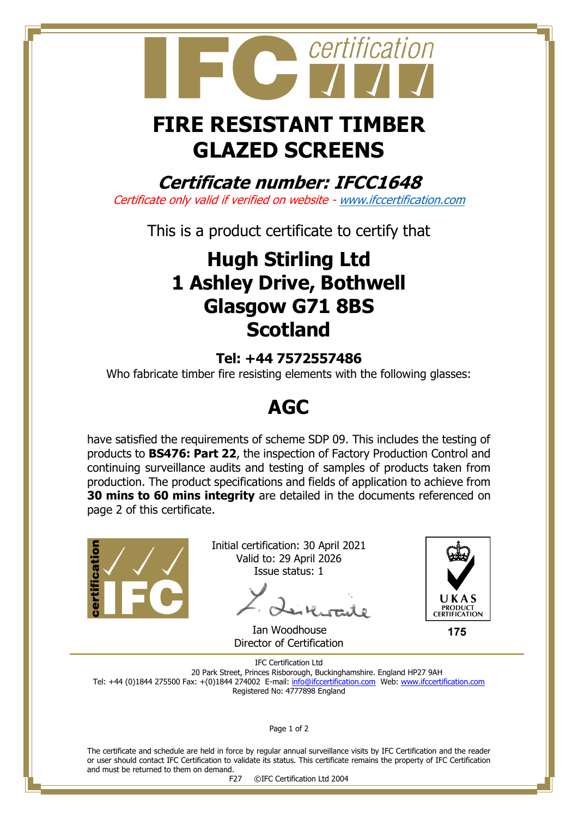

# **FIRE RESISTANT TIMBER GLAZED SCREENS**

**Certificate number: IFCC1648**

Certificate only valid if verified on website - [www.ifccertification.com](http://www.ifccertification.com/)

This is a product certificate to certify that

## **Hugh Stirling Ltd 1 Ashley Drive, Bothwell Glasgow G71 8BS Scotland**

### **Tel: +44 7572557486**

Who fabricate timber fire resisting elements with the following glasses:

## **AGC**

have satisfied the requirements of scheme SDP 09. This includes the testing of products to **BS476: Part 22**, the inspection of Factory Production Control and continuing surveillance audits and testing of samples of products taken from production. The product specifications and fields of application to achieve from **30 mins to 60 mins integrity** are detailed in the documents referenced on page 2 of this certificate.



Initial certification: 30 April 2021 Valid to: 29 April 2026 Issue status: 1

 Ian Woodhouse Director of Certification



175

IFC Certification Ltd 20 Park Street, Princes Risborough, Buckinghamshire. England HP27 9AH Tel: +44 (0)1844 275500 Fax: +(0)1844 274002 E-mail[: info@ifccertification.com](mailto:info@ifccertification.com) Web: [www.ifccertification.com](http://www.ifccertification.com/) Registered No: 4777898 England

Page 1 of 2

The certificate and schedule are held in force by regular annual surveillance visits by IFC Certification and the reader or user should contact IFC Certification to validate its status. This certificate remains the property of IFC Certification and must be returned to them on demand.<br>F27

©IFC Certification Ltd 2004